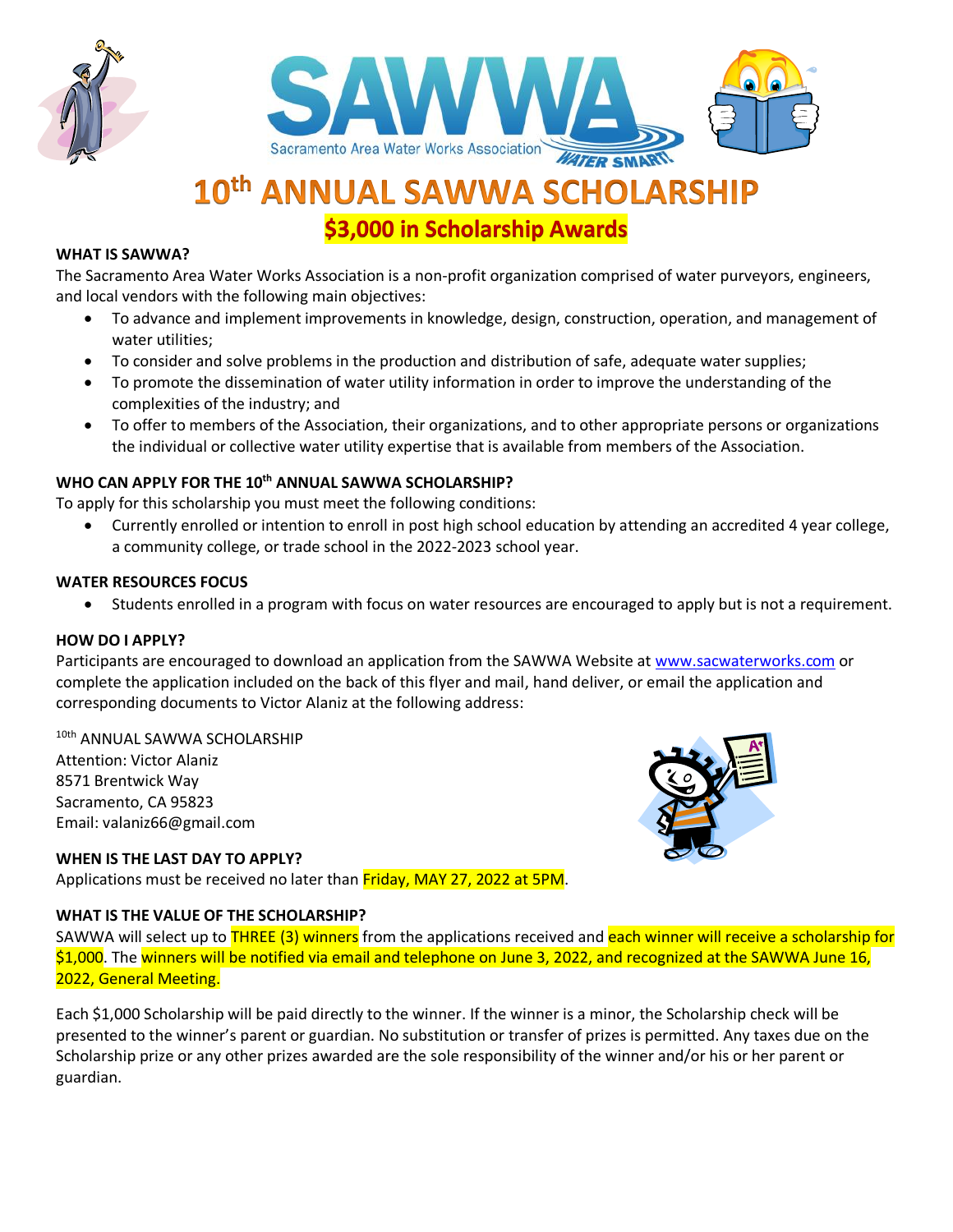



# 10th ANNUAL SAWWA SCHOLARSHIP

**\$3,000 in Scholarship Awards**

#### **WHAT IS SAWWA?**

The Sacramento Area Water Works Association is a non-profit organization comprised of water purveyors, engineers, and local vendors with the following main objectives:

- To advance and implement improvements in knowledge, design, construction, operation, and management of water utilities;
- To consider and solve problems in the production and distribution of safe, adequate water supplies;
- To promote the dissemination of water utility information in order to improve the understanding of the complexities of the industry; and
- To offer to members of the Association, their organizations, and to other appropriate persons or organizations the individual or collective water utility expertise that is available from members of the Association.

#### **WHO CAN APPLY FOR THE 10th ANNUAL SAWWA SCHOLARSHIP?**

To apply for this scholarship you must meet the following conditions:

• Currently enrolled or intention to enroll in post high school education by attending an accredited 4 year college, a community college, or trade school in the 2022-2023 school year.

#### **WATER RESOURCES FOCUS**

• Students enrolled in a program with focus on water resources are encouraged to apply but is not a requirement.

#### **HOW DO I APPLY?**

Participants are encouraged to download an application from the SAWWA Website at [www.sacwaterworks.com](http://www.sacwaterworks.com/) or complete the application included on the back of this flyer and mail, hand deliver, or email the application and corresponding documents to Victor Alaniz at the following address:

#### 10th ANNUAL SAWWA SCHOLARSHIP Attention: Victor Alaniz 8571 Brentwick Way

Sacramento, CA 95823 Email: valaniz66@gmail.com

#### **WHEN IS THE LAST DAY TO APPLY?**

Applications must be received no later than Friday, MAY 27, 2022 at 5PM.

#### **WHAT IS THE VALUE OF THE SCHOLARSHIP?**

SAWWA will select up to THREE (3) winners from the applications received and each winner will receive a scholarship for \$1,000. The winners will be notified via email and telephone on June 3, 2022, and recognized at the SAWWA June 16, 2022, General Meeting.

Each \$1,000 Scholarship will be paid directly to the winner. If the winner is a minor, the Scholarship check will be presented to the winner's parent or guardian. No substitution or transfer of prizes is permitted. Any taxes due on the Scholarship prize or any other prizes awarded are the sole responsibility of the winner and/or his or her parent or guardian.